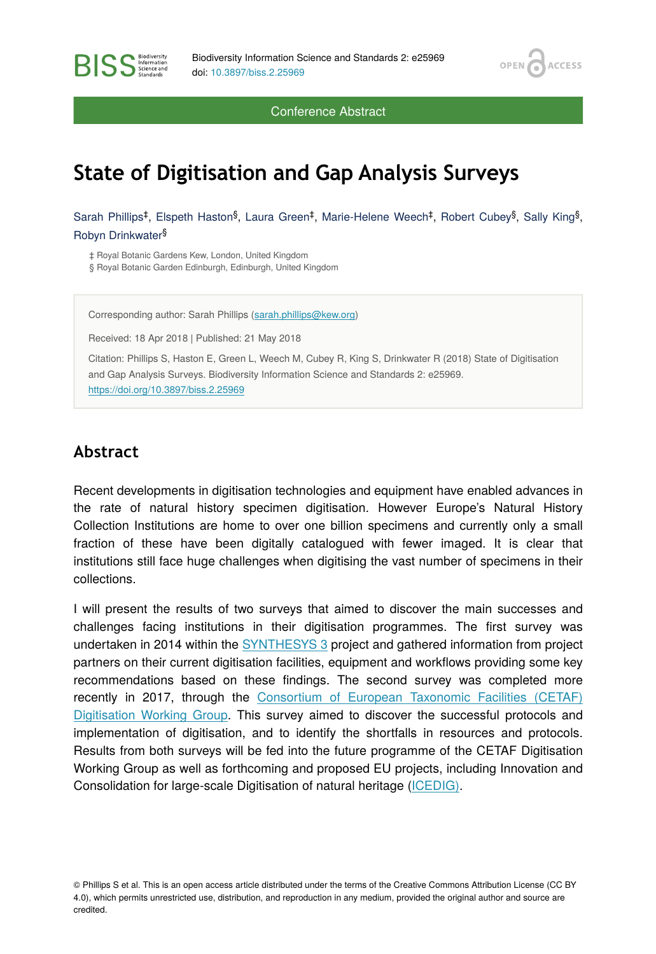OPEN<sub>C</sub>

**ACCESS** 

Conference Abstract

## **State of Digitisation and Gap Analysis Surveys**

Sarah Phillips<sup>‡</sup>, Elspeth Haston<sup>§</sup>, Laura Green<sup>‡</sup>, Marie-Helene Weech<sup>‡</sup>, Robert Cubey<sup>§</sup>, Sally King<sup>§</sup>, Robyn Drinkwater §

‡ Royal Botanic Gardens Kew, London, United Kingdom § Royal Botanic Garden Edinburgh, Edinburgh, United Kingdom

Corresponding author: Sarah Phillips [\(sarah.phillips@kew.org](mailto:sarah.phillips@kew.org))

Received: 18 Apr 2018 | Published: 21 May 2018

Citation: Phillips S, Haston E, Green L, Weech M, Cubey R, King S, Drinkwater R (2018) State of Digitisation and Gap Analysis Surveys. Biodiversity Information Science and Standards 2: e25969. <https://doi.org/10.3897/biss.2.25969>

## **Abstract**

**RISS** Science and

Recent developments in digitisation technologies and equipment have enabled advances in the rate of natural history specimen digitisation. However Europe's Natural History Collection Institutions are home to over one billion specimens and currently only a small fraction of these have been digitally catalogued with fewer imaged. It is clear that institutions still face huge challenges when digitising the vast number of specimens in their collections.

I will present the results of two surveys that aimed to discover the main successes and challenges facing institutions in their digitisation programmes. The first survey was undertaken in 2014 within the [SYNTHESYS 3](http://www.synthesys.info/) project and gathered information from project partners on their current digitisation facilities, equipment and workflows providing some key recommendations based on these findings. The second survey was completed more recently in 2017, through the [Consortium of European Taxonomic Facilities \(CETAF\)](http://cetafdigitization.biowikifarm.net/cdig/) [Digitisation Working Group](http://cetafdigitization.biowikifarm.net/cdig/). This survey aimed to discover the successful protocols and implementation of digitisation, and to identify the shortfalls in resources and protocols. Results from both surveys will be fed into the future programme of the CETAF Digitisation Working Group as well as forthcoming and proposed EU projects, including Innovation and Consolidation for large-scale Digitisation of natural heritage [\(ICEDIG\)](http://www.icedig.eu).

© Phillips S et al. This is an open access article distributed under the terms of the Creative Commons Attribution License (CC BY 4.0), which permits unrestricted use, distribution, and reproduction in any medium, provided the original author and source are credited.